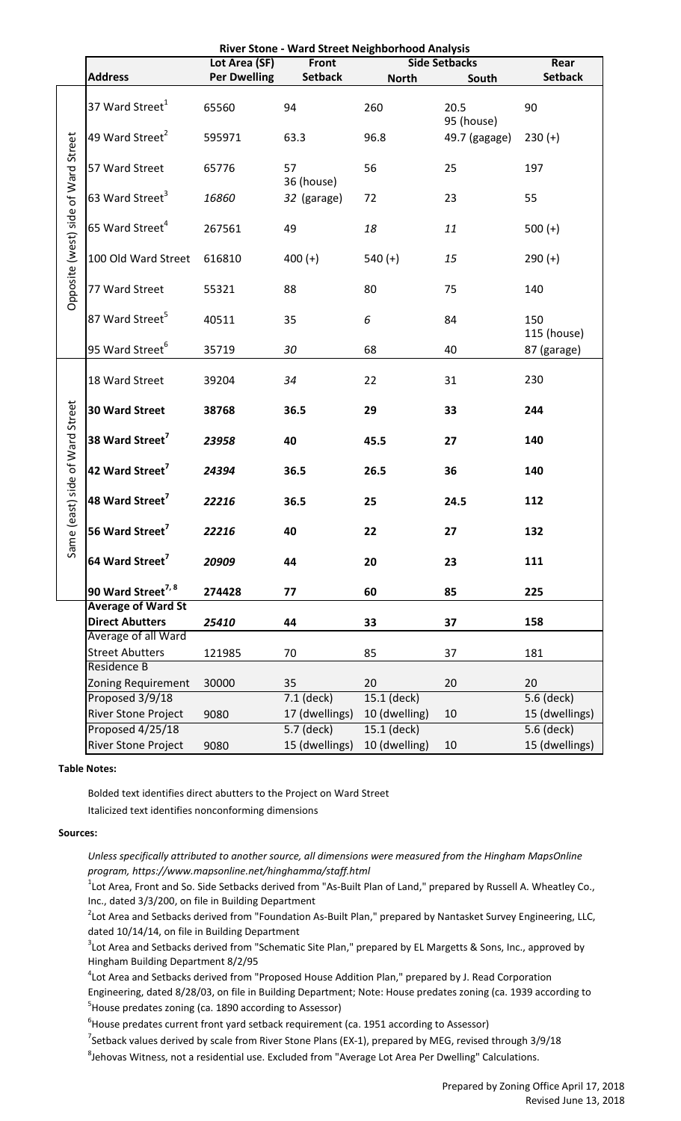|                                     | River Stone - Ward Street Neighborhood Analysis                                                                             |                     |                  |                      |                    |                    |  |  |  |  |
|-------------------------------------|-----------------------------------------------------------------------------------------------------------------------------|---------------------|------------------|----------------------|--------------------|--------------------|--|--|--|--|
|                                     |                                                                                                                             | Lot Area (SF)       | Front            | <b>Side Setbacks</b> | Rear               |                    |  |  |  |  |
|                                     | <b>Address</b>                                                                                                              | <b>Per Dwelling</b> | <b>Setback</b>   | <b>North</b>         | South              | <b>Setback</b>     |  |  |  |  |
| Opposite (west) side of Ward Street | 37 Ward Street <sup>1</sup>                                                                                                 | 65560               | 94               | 260                  | 20.5<br>95 (house) | 90                 |  |  |  |  |
|                                     | 49 Ward Street <sup>2</sup>                                                                                                 | 595971              | 63.3             | 96.8                 | 49.7 (gagage)      | $230 (+)$          |  |  |  |  |
|                                     | 57 Ward Street                                                                                                              | 65776               | 57<br>36 (house) | 56                   | 25                 | 197                |  |  |  |  |
|                                     | 63 Ward Street <sup>3</sup>                                                                                                 | 16860               | 32 (garage)      | 72                   | 23                 | 55                 |  |  |  |  |
|                                     | 65 Ward Street <sup>4</sup>                                                                                                 | 267561              | 49               | 18                   | 11                 | $500 (+)$          |  |  |  |  |
|                                     | 100 Old Ward Street                                                                                                         | 616810              | $400 (+)$        | $540 (+)$            | 15                 | $290 (+)$          |  |  |  |  |
|                                     | 77 Ward Street                                                                                                              | 55321               | 88               | 80                   | 75                 | 140                |  |  |  |  |
|                                     | 87 Ward Street <sup>5</sup>                                                                                                 | 40511               | 35               | 6                    | 84                 | 150<br>115 (house) |  |  |  |  |
|                                     | 95 Ward Street <sup>6</sup>                                                                                                 | 35719               | 30               | 68                   | 40                 | 87 (garage)        |  |  |  |  |
|                                     | 18 Ward Street                                                                                                              | 39204               | 34               | 22                   | 31                 | 230                |  |  |  |  |
|                                     | <b>30 Ward Street</b>                                                                                                       | 38768               | 36.5             | 29                   | 33                 | 244                |  |  |  |  |
| e (east) side of Ward Street<br>Sam | 38 Ward Street <sup>7</sup>                                                                                                 | 23958               | 40               | 45.5                 | 27                 | 140                |  |  |  |  |
|                                     | 42 Ward Street <sup>7</sup>                                                                                                 | 24394               | 36.5             | 26.5                 | 36                 | 140                |  |  |  |  |
|                                     | 48 Ward Street <sup>7</sup>                                                                                                 | 22216               | 36.5             | 25                   | 24.5               | 112                |  |  |  |  |
|                                     | 56 Ward Street <sup>7</sup>                                                                                                 | 22216               | 40               | 22                   | 27                 | 132                |  |  |  |  |
|                                     | 64 Ward Street <sup>7</sup>                                                                                                 | 20909               | 44               | 20                   | 23                 | 111                |  |  |  |  |
|                                     | 90 Ward Street <sup>7, 8</sup>                                                                                              | 274428              | 77               | 60                   | 85                 | 225                |  |  |  |  |
|                                     | <b>Average of Ward St</b>                                                                                                   |                     |                  |                      |                    |                    |  |  |  |  |
|                                     | <b>Direct Abutters</b>                                                                                                      | 25410               | 44               | 33                   | 37                 | 158                |  |  |  |  |
|                                     | Average of all Ward                                                                                                         |                     |                  |                      |                    |                    |  |  |  |  |
|                                     | <b>Street Abutters</b>                                                                                                      | 121985              | 70               | 85                   | 37                 | 181                |  |  |  |  |
|                                     | Residence B                                                                                                                 |                     |                  |                      |                    |                    |  |  |  |  |
|                                     | <b>Zoning Requirement</b>                                                                                                   | 30000               | 35               | 20                   | 20                 | 20                 |  |  |  |  |
|                                     | Proposed 3/9/18                                                                                                             |                     | $7.1$ (deck)     | 15.1 (deck)          |                    | 5.6 (deck)         |  |  |  |  |
|                                     | River Stone Project                                                                                                         | 9080                | 17 (dwellings)   | 10 (dwelling)        | 10                 | 15 (dwellings)     |  |  |  |  |
|                                     | Proposed 4/25/18                                                                                                            |                     | $5.7$ (deck)     | 15.1 (deck)          |                    | 5.6 (deck)         |  |  |  |  |
|                                     | River Stone Project                                                                                                         | 9080                | 15 (dwellings)   | 10 (dwelling)        | 10                 | 15 (dwellings)     |  |  |  |  |
|                                     | <b>Table Notes:</b>                                                                                                         |                     |                  |                      |                    |                    |  |  |  |  |
|                                     | Bolded text identifies direct abutters to the Project on Ward Street<br>Italicized text identifies nonconforming dimensions |                     |                  |                      |                    |                    |  |  |  |  |
|                                     | Sources:                                                                                                                    |                     |                  |                      |                    |                    |  |  |  |  |

## **Table Notes:**

## Sources:

*Unless specifically attributed to another source, all dimensions were measured from the Hingham MapsOnline program, https://www.mapsonline.net/hinghamma/staff.html*

 $1$ Lot Area, Front and So. Side Setbacks derived from "As-Built Plan of Land," prepared by Russell A. Wheatley Co., Inc., dated 3/3/200, on file in Building Department

 $^2$ Lot Area and Setbacks derived from "Foundation As-Built Plan," prepared by Nantasket Survey Engineering, LLC, dated 10/14/14, on file in Building Department

 $3$ Lot Area and Setbacks derived from "Schematic Site Plan," prepared by EL Margetts & Sons, Inc., approved by Hingham Building Department 8/2/95

 ${}^{4}$ Lot Area and Setbacks derived from "Proposed House Addition Plan," prepared by J. Read Corporation

Engineering, dated 8/28/03, on file in Building Department; Note: House predates zoning (ca. 1939 according to <sup>5</sup>House predates zoning (ca. 1890 according to Assessor)

 $^6$ House predates current front yard setback requirement (ca. 1951 according to Assessor)

<sup>7</sup>Setback values derived by scale from River Stone Plans (EX-1), prepared by MEG, revised through 3/9/18

 ${}^{8}$ Jehovas Witness, not a residential use. Excluded from "Average Lot Area Per Dwelling" Calculations.